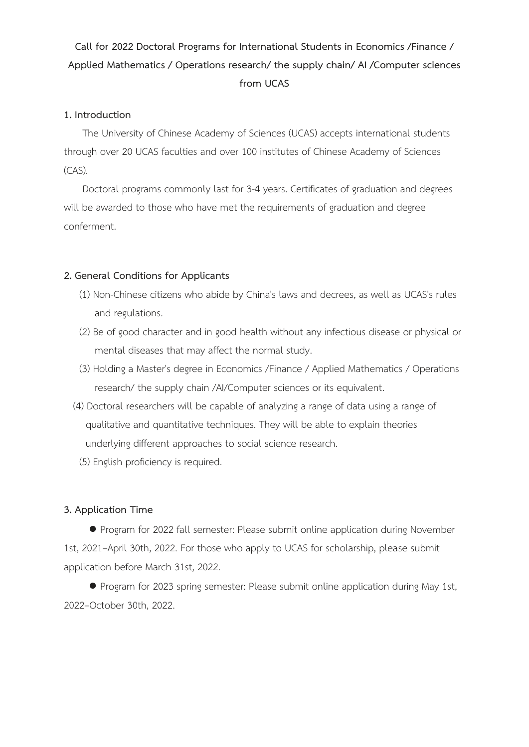# **Call for 2022 Doctoral Programs for International Students in Economics /Finance / Applied Mathematics / Operations research/ the supply chain/ AI /Computer sciences from UCAS**

#### **1. Introduction**

The University of Chinese Academy of Sciences (UCAS) accepts international students through over 20 UCAS faculties and over 100 institutes of Chinese Academy of Sciences (CAS).

Doctoral programs commonly last for 3-4 years. Certificates of graduation and degrees will be awarded to those who have met the requirements of graduation and degree conferment.

# **2. General Conditions for Applicants**

- (1) Non-Chinese citizens who abide by China's laws and decrees, as well as UCAS's rules and regulations.
- (2) Be of good character and in good health without any infectious disease or physical or mental diseases that may affect the normal study.
- (3) Holding a Master's degree in Economics /Finance / Applied Mathematics / Operations research/ the supply chain /AI/Computer sciences or its equivalent.
- (4) Doctoral researchers will be capable of analyzing a range of data using a range of qualitative and quantitative techniques. They will be able to explain theories underlying different approaches to social science research.
- (5) English proficiency is required.

# **3. Application Time**

● Program for 2022 fall semester: Please submit online application during November 1st, 2021–April 30th, 2022. For those who apply to UCAS for scholarship, please submit application before March 31st, 2022.

● Program for 2023 spring semester: Please submit online application during May 1st, 2022–October 30th, 2022.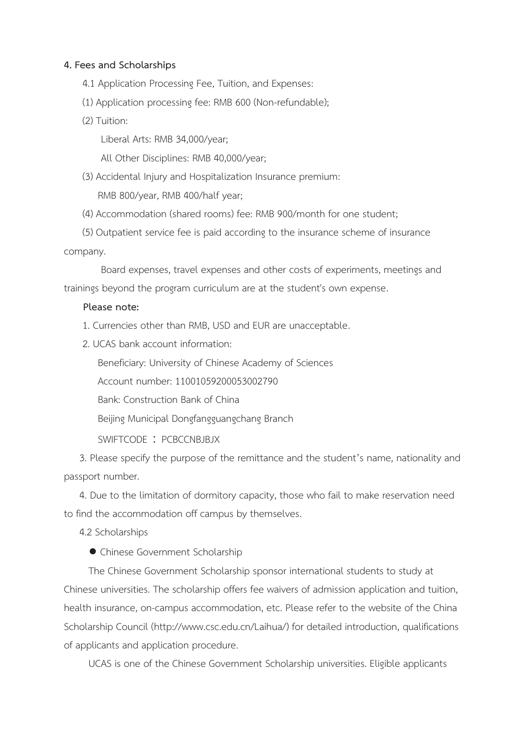#### **4. Fees and Scholarships**

- 4.1 Application Processing Fee, Tuition, and Expenses:
- (1) Application processing fee: RMB 600 (Non-refundable);
- (2) Tuition:

Liberal Arts: RMB 34,000/year;

All Other Disciplines: RMB 40,000/year;

(3) Accidental Injury and Hospitalization Insurance premium: RMB 800/year, RMB 400/half year;

(4) Accommodation (shared rooms) fee: RMB 900/month for one student;

(5) Outpatient service fee is paid according to the insurance scheme of insurance company.

Board expenses, travel expenses and other costs of experiments, meetings and trainings beyond the program curriculum are at the student's own expense.

#### **Please note:**

- 1. Currencies other than RMB, USD and EUR are unacceptable.
- 2. UCAS bank account information:

Beneficiary: University of Chinese Academy of Sciences

Account number: 11001059200053002790

Bank: Construction Bank of China

Beijing Municipal Dongfangguangchang Branch

SWIFTCODE: PCBCCNBJBJX

3. Please specify the purpose of the remittance and the student's name, nationality and passport number.

4. Due to the limitation of dormitory capacity, those who fail to make reservation need to find the accommodation off campus by themselves.

4.2 Scholarships

● Chinese Government Scholarship

The Chinese Government Scholarship sponsor international students to study at Chinese universities. The scholarship offers fee waivers of admission application and tuition, health insurance, on-campus accommodation, etc. Please refer to the website of the China Scholarship Council (http://www.csc.edu.cn/Laihua/) for detailed introduction, qualifications of applicants and application procedure.

UCAS is one of the Chinese Government Scholarship universities. Eligible applicants